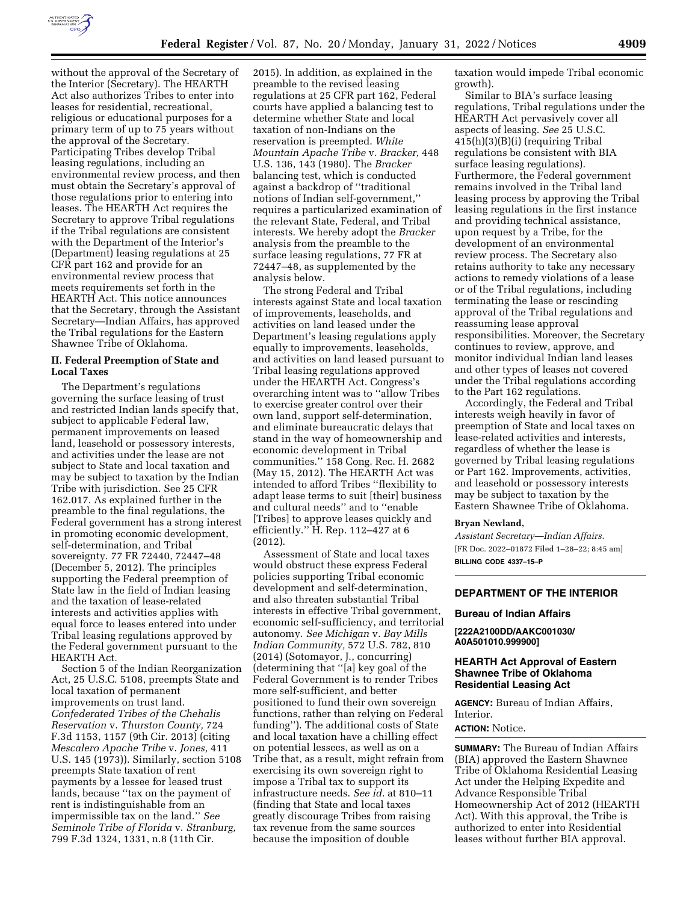

without the approval of the Secretary of the Interior (Secretary). The HEARTH Act also authorizes Tribes to enter into leases for residential, recreational, religious or educational purposes for a primary term of up to 75 years without the approval of the Secretary. Participating Tribes develop Tribal leasing regulations, including an environmental review process, and then must obtain the Secretary's approval of those regulations prior to entering into leases. The HEARTH Act requires the Secretary to approve Tribal regulations if the Tribal regulations are consistent with the Department of the Interior's (Department) leasing regulations at 25 CFR part 162 and provide for an environmental review process that meets requirements set forth in the HEARTH Act. This notice announces that the Secretary, through the Assistant Secretary—Indian Affairs, has approved the Tribal regulations for the Eastern Shawnee Tribe of Oklahoma.

#### **II. Federal Preemption of State and Local Taxes**

The Department's regulations governing the surface leasing of trust and restricted Indian lands specify that, subject to applicable Federal law, permanent improvements on leased land, leasehold or possessory interests, and activities under the lease are not subject to State and local taxation and may be subject to taxation by the Indian Tribe with jurisdiction. See 25 CFR 162.017. As explained further in the preamble to the final regulations, the Federal government has a strong interest in promoting economic development, self-determination, and Tribal sovereignty. 77 FR 72440, 72447–48 (December 5, 2012). The principles supporting the Federal preemption of State law in the field of Indian leasing and the taxation of lease-related interests and activities applies with equal force to leases entered into under Tribal leasing regulations approved by the Federal government pursuant to the HEARTH Act.

Section 5 of the Indian Reorganization Act, 25 U.S.C. 5108, preempts State and local taxation of permanent improvements on trust land. *Confederated Tribes of the Chehalis Reservation* v. *Thurston County,* 724 F.3d 1153, 1157 (9th Cir. 2013) (citing *Mescalero Apache Tribe* v. *Jones,* 411 U.S. 145 (1973)). Similarly, section 5108 preempts State taxation of rent payments by a lessee for leased trust lands, because ''tax on the payment of rent is indistinguishable from an impermissible tax on the land.'' *See Seminole Tribe of Florida* v. *Stranburg,*  799 F.3d 1324, 1331, n.8 (11th Cir.

2015). In addition, as explained in the preamble to the revised leasing regulations at 25 CFR part 162, Federal courts have applied a balancing test to determine whether State and local taxation of non-Indians on the reservation is preempted. *White Mountain Apache Tribe* v. *Bracker,* 448 U.S. 136, 143 (1980). The *Bracker*  balancing test, which is conducted against a backdrop of ''traditional notions of Indian self-government,'' requires a particularized examination of the relevant State, Federal, and Tribal interests. We hereby adopt the *Bracker*  analysis from the preamble to the surface leasing regulations, 77 FR at 72447–48, as supplemented by the analysis below.

The strong Federal and Tribal interests against State and local taxation of improvements, leaseholds, and activities on land leased under the Department's leasing regulations apply equally to improvements, leaseholds, and activities on land leased pursuant to Tribal leasing regulations approved under the HEARTH Act. Congress's overarching intent was to ''allow Tribes to exercise greater control over their own land, support self-determination, and eliminate bureaucratic delays that stand in the way of homeownership and economic development in Tribal communities.'' 158 Cong. Rec. H. 2682 (May 15, 2012). The HEARTH Act was intended to afford Tribes ''flexibility to adapt lease terms to suit [their] business and cultural needs'' and to ''enable [Tribes] to approve leases quickly and efficiently.'' H. Rep. 112–427 at 6 (2012).

Assessment of State and local taxes would obstruct these express Federal policies supporting Tribal economic development and self-determination, and also threaten substantial Tribal interests in effective Tribal government, economic self-sufficiency, and territorial autonomy. *See Michigan* v. *Bay Mills Indian Community,* 572 U.S. 782, 810 (2014) (Sotomayor, J., concurring) (determining that ''[a] key goal of the Federal Government is to render Tribes more self-sufficient, and better positioned to fund their own sovereign functions, rather than relying on Federal funding''). The additional costs of State and local taxation have a chilling effect on potential lessees, as well as on a Tribe that, as a result, might refrain from exercising its own sovereign right to impose a Tribal tax to support its infrastructure needs. *See id.* at 810–11 (finding that State and local taxes greatly discourage Tribes from raising tax revenue from the same sources because the imposition of double

taxation would impede Tribal economic growth).

Similar to BIA's surface leasing regulations, Tribal regulations under the HEARTH Act pervasively cover all aspects of leasing. *See* 25 U.S.C. 415(h)(3)(B)(i) (requiring Tribal regulations be consistent with BIA surface leasing regulations). Furthermore, the Federal government remains involved in the Tribal land leasing process by approving the Tribal leasing regulations in the first instance and providing technical assistance, upon request by a Tribe, for the development of an environmental review process. The Secretary also retains authority to take any necessary actions to remedy violations of a lease or of the Tribal regulations, including terminating the lease or rescinding approval of the Tribal regulations and reassuming lease approval responsibilities. Moreover, the Secretary continues to review, approve, and monitor individual Indian land leases and other types of leases not covered under the Tribal regulations according to the Part 162 regulations.

Accordingly, the Federal and Tribal interests weigh heavily in favor of preemption of State and local taxes on lease-related activities and interests, regardless of whether the lease is governed by Tribal leasing regulations or Part 162. Improvements, activities, and leasehold or possessory interests may be subject to taxation by the Eastern Shawnee Tribe of Oklahoma.

#### **Bryan Newland,**

*Assistant Secretary—Indian Affairs.*  [FR Doc. 2022–01872 Filed 1–28–22; 8:45 am] **BILLING CODE 4337–15–P** 

# **DEPARTMENT OF THE INTERIOR**

## **Bureau of Indian Affairs**

**[222A2100DD/AAKC001030/ A0A501010.999900]** 

## **HEARTH Act Approval of Eastern Shawnee Tribe of Oklahoma Residential Leasing Act**

**AGENCY:** Bureau of Indian Affairs, Interior.

## **ACTION:** Notice.

**SUMMARY:** The Bureau of Indian Affairs (BIA) approved the Eastern Shawnee Tribe of Oklahoma Residential Leasing Act under the Helping Expedite and Advance Responsible Tribal Homeownership Act of 2012 (HEARTH Act). With this approval, the Tribe is authorized to enter into Residential leases without further BIA approval.